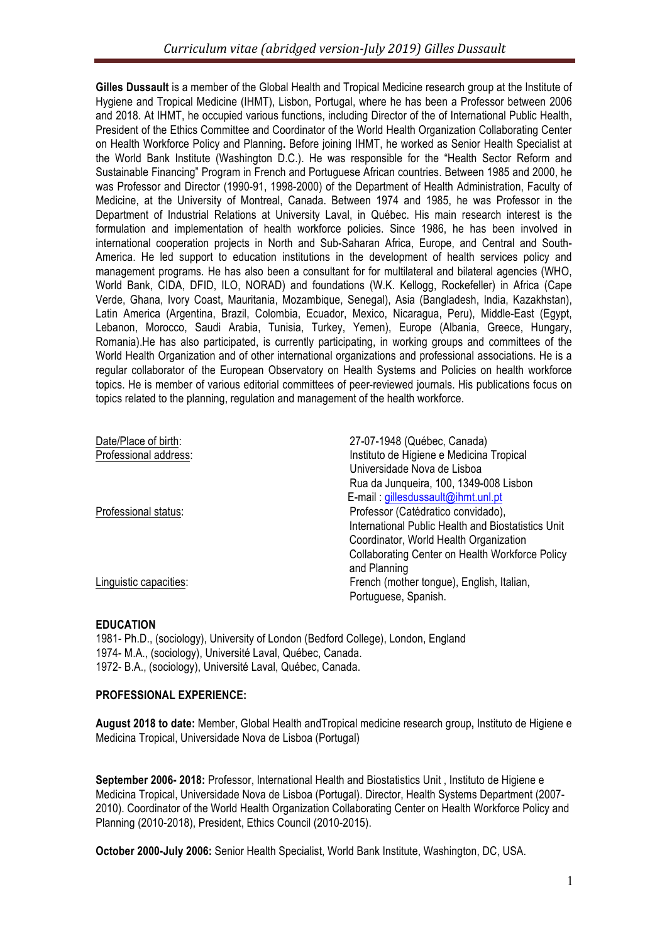Gilles Dussault is a member of the Global Health and Tropical Medicine research group at the Institute of Hygiene and Tropical Medicine (IHMT), Lisbon, Portugal, where he has been a Professor between 2006 and 2018. At IHMT, he occupied various functions, including Director of the of International Public Health, President of the Ethics Committee and Coordinator of the World Health Organization Collaborating Center on Health Workforce Policy and Planning**.** Before joining IHMT, he worked as Senior Health Specialist at the World Bank Institute (Washington D.C.). He was responsible for the "Health Sector Reform and Sustainable Financing" Program in French and Portuguese African countries. Between 1985 and 2000, he was Professor and Director (1990-91, 1998-2000) of the Department of Health Administration, Faculty of Medicine, at the University of Montreal, Canada. Between 1974 and 1985, he was Professor in the Department of Industrial Relations at University Laval, in Québec. His main research interest is the formulation and implementation of health workforce policies. Since 1986, he has been involved in international cooperation projects in North and Sub-Saharan Africa, Europe, and Central and South-America. He led support to education institutions in the development of health services policy and management programs. He has also been a consultant for for multilateral and bilateral agencies (WHO, World Bank, CIDA, DFID, ILO, NORAD) and foundations (W.K. Kellogg, Rockefeller) in Africa (Cape Verde, Ghana, Ivory Coast, Mauritania, Mozambique, Senegal), Asia (Bangladesh, India, Kazakhstan), Latin America (Argentina, Brazil, Colombia, Ecuador, Mexico, Nicaragua, Peru), Middle-East (Egypt, Lebanon, Morocco, Saudi Arabia, Tunisia, Turkey, Yemen), Europe (Albania, Greece, Hungary, Romania).He has also participated, is currently participating, in working groups and committees of the World Health Organization and of other international organizations and professional associations. He is a regular collaborator of the European Observatory on Health Systems and Policies on health workforce topics. He is member of various editorial committees of peer-reviewed journals. His publications focus on topics related to the planning, regulation and management of the health workforce.

| Date/Place of birth:   | 27-07-1948 (Québec, Canada)                            |
|------------------------|--------------------------------------------------------|
| Professional address:  | Instituto de Higiene e Medicina Tropical               |
|                        | Universidade Nova de Lisboa                            |
|                        | Rua da Junqueira, 100, 1349-008 Lisbon                 |
|                        | E-mail : gillesdussault@ihmt.unl.pt                    |
| Professional status:   | Professor (Catédratico convidado),                     |
|                        | International Public Health and Biostatistics Unit     |
|                        | Coordinator, World Health Organization                 |
|                        | <b>Collaborating Center on Health Workforce Policy</b> |
|                        | and Planning                                           |
| Linguistic capacities: | French (mother tongue), English, Italian,              |
|                        | Portuguese, Spanish.                                   |

# **EDUCATION**

1981- Ph.D., (sociology), University of London (Bedford College), London, England 1974- M.A., (sociology), Université Laval, Québec, Canada. 1972- B.A., (sociology), Université Laval, Québec, Canada.

# **PROFESSIONAL EXPERIENCE:**

**August 2018 to date:** Member, Global Health andTropical medicine research group**,** Instituto de Higiene e Medicina Tropical, Universidade Nova de Lisboa (Portugal)

**September 2006- 2018:** Professor, International Health and Biostatistics Unit , Instituto de Higiene e Medicina Tropical, Universidade Nova de Lisboa (Portugal). Director, Health Systems Department (2007- 2010). Coordinator of the World Health Organization Collaborating Center on Health Workforce Policy and Planning (2010-2018), President, Ethics Council (2010-2015).

**October 2000-July 2006:** Senior Health Specialist, World Bank Institute, Washington, DC, USA.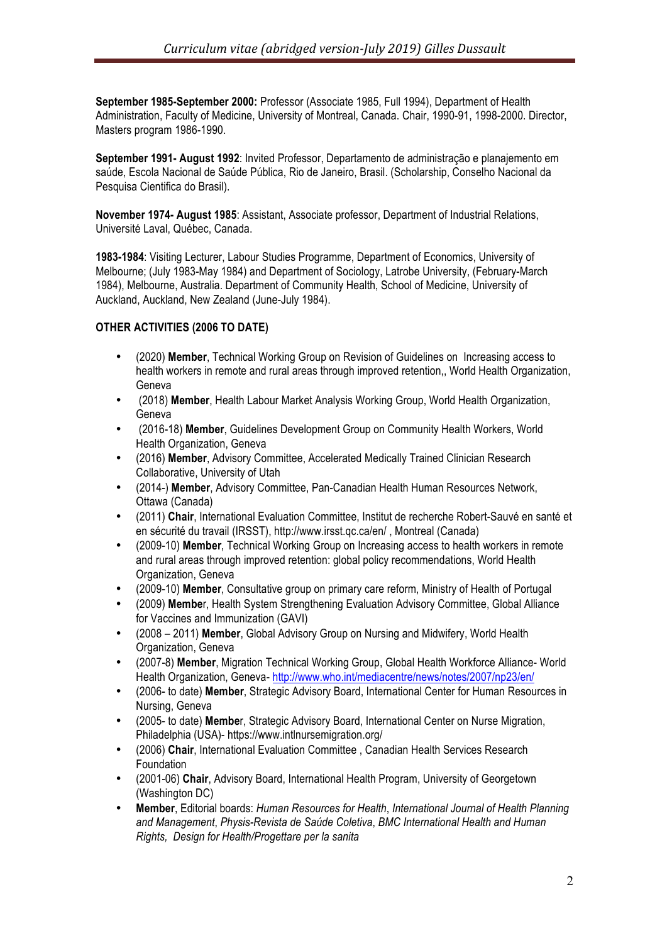**September 1985-September 2000:** Professor (Associate 1985, Full 1994), Department of Health Administration, Faculty of Medicine, University of Montreal, Canada. Chair, 1990-91, 1998-2000. Director, Masters program 1986-1990.

**September 1991- August 1992**: Invited Professor, Departamento de administração e planajemento em saúde, Escola Nacional de Saúde Pública, Rio de Janeiro, Brasil. (Scholarship, Conselho Nacional da Pesquisa Cientifica do Brasil).

**November 1974- August 1985**: Assistant, Associate professor, Department of Industrial Relations, Université Laval, Québec, Canada.

**1983-1984**: Visiting Lecturer, Labour Studies Programme, Department of Economics, University of Melbourne; (July 1983-May 1984) and Department of Sociology, Latrobe University, (February-March 1984), Melbourne, Australia. Department of Community Health, School of Medicine, University of Auckland, Auckland, New Zealand (June-July 1984).

#### **OTHER ACTIVITIES (2006 TO DATE)**

- (2020) **Member**, Technical Working Group on Revision of Guidelines on Increasing access to health workers in remote and rural areas through improved retention,, World Health Organization, Geneva
- (2018) **Member**, Health Labour Market Analysis Working Group, World Health Organization, Geneva
- (2016-18) **Member**, Guidelines Development Group on Community Health Workers, World Health Organization, Geneva
- (2016) **Member**, Advisory Committee, Accelerated Medically Trained Clinician Research Collaborative, University of Utah
- (2014-) **Member**, Advisory Committee, Pan-Canadian Health Human Resources Network, Ottawa (Canada)
- (2011) **Chair**, International Evaluation Committee, Institut de recherche Robert-Sauvé en santé et en sécurité du travail (IRSST), http://www.irsst.qc.ca/en/ , Montreal (Canada)
- (2009-10) **Member**, Technical Working Group on Increasing access to health workers in remote and rural areas through improved retention: global policy recommendations, World Health Organization, Geneva
- (2009-10) **Member**, Consultative group on primary care reform, Ministry of Health of Portugal
- (2009) **Membe**r, Health System Strengthening Evaluation Advisory Committee, Global Alliance for Vaccines and Immunization (GAVI)
- (2008 2011) **Member**, Global Advisory Group on Nursing and Midwifery, World Health Organization, Geneva
- (2007-8) **Member**, Migration Technical Working Group, Global Health Workforce Alliance- World Health Organization, Geneva- http://www.who.int/mediacentre/news/notes/2007/np23/en/
- (2006- to date) **Member**, Strategic Advisory Board, International Center for Human Resources in Nursing, Geneva
- (2005- to date) **Membe**r, Strategic Advisory Board, International Center on Nurse Migration, Philadelphia (USA)- https://www.intlnursemigration.org/
- (2006) **Chair**, International Evaluation Committee , Canadian Health Services Research Foundation
- (2001-06) **Chair**, Advisory Board, International Health Program, University of Georgetown (Washington DC)
- **Member**, Editorial boards: *Human Resources for Health*, *International Journal of Health Planning and Management*, *Physis-Revista de Saúde Coletiva*, *BMC International Health and Human Rights, Design for Health/Progettare per la sanita*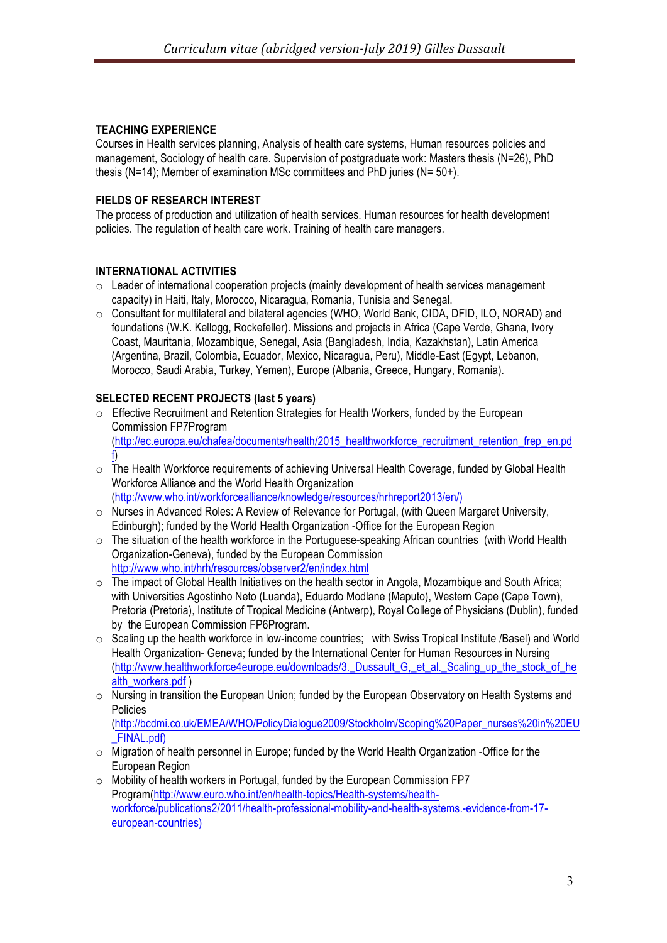# **TEACHING EXPERIENCE**

Courses in Health services planning, Analysis of health care systems, Human resources policies and management, Sociology of health care. Supervision of postgraduate work: Masters thesis (N=26), PhD thesis (N=14); Member of examination MSc committees and PhD juries (N= 50+).

#### **FIELDS OF RESEARCH INTEREST**

The process of production and utilization of health services. Human resources for health development policies. The regulation of health care work. Training of health care managers.

#### **INTERNATIONAL ACTIVITIES**

- o Leader of international cooperation projects (mainly development of health services management capacity) in Haiti, Italy, Morocco, Nicaragua, Romania, Tunisia and Senegal.
- o Consultant for multilateral and bilateral agencies (WHO, World Bank, CIDA, DFID, ILO, NORAD) and foundations (W.K. Kellogg, Rockefeller). Missions and projects in Africa (Cape Verde, Ghana, Ivory Coast, Mauritania, Mozambique, Senegal, Asia (Bangladesh, India, Kazakhstan), Latin America (Argentina, Brazil, Colombia, Ecuador, Mexico, Nicaragua, Peru), Middle-East (Egypt, Lebanon, Morocco, Saudi Arabia, Turkey, Yemen), Europe (Albania, Greece, Hungary, Romania).

#### **SELECTED RECENT PROJECTS (last 5 years)**

- o Effective Recruitment and Retention Strategies for Health Workers, funded by the European Commission FP7Program (http://ec.europa.eu/chafea/documents/health/2015\_healthworkforce\_recruitment\_retention\_frep\_en.pd f)
- $\circ$  The Health Workforce requirements of achieving Universal Health Coverage, funded by Global Health Workforce Alliance and the World Health Organization (http://www.who.int/workforcealliance/knowledge/resources/hrhreport2013/en/)
- o Nurses in Advanced Roles: A Review of Relevance for Portugal, (with Queen Margaret University, Edinburgh); funded by the World Health Organization -Office for the European Region
- o The situation of the health workforce in the Portuguese-speaking African countries (with World Health Organization-Geneva), funded by the European Commission http://www.who.int/hrh/resources/observer2/en/index.html
- o The impact of Global Health Initiatives on the health sector in Angola, Mozambique and South Africa; with Universities Agostinho Neto (Luanda), Eduardo Modlane (Maputo), Western Cape (Cape Town), Pretoria (Pretoria), Institute of Tropical Medicine (Antwerp), Royal College of Physicians (Dublin), funded by the European Commission FP6Program.
- o Scaling up the health workforce in low-income countries; with Swiss Tropical Institute /Basel) and World Health Organization- Geneva; funded by the International Center for Human Resources in Nursing (http://www.healthworkforce4europe.eu/downloads/3.\_Dussault\_G,\_et\_al.\_Scaling\_up\_the\_stock\_of\_he alth\_workers.pdf )
- o Nursing in transition the European Union; funded by the European Observatory on Health Systems and Policies

(http://bcdmi.co.uk/EMEA/WHO/PolicyDialogue2009/Stockholm/Scoping%20Paper\_nurses%20in%20EU \_FINAL.pdf)

- o Migration of health personnel in Europe; funded by the World Health Organization -Office for the European Region
- o Mobility of health workers in Portugal, funded by the European Commission FP7 Program(http://www.euro.who.int/en/health-topics/Health-systems/healthworkforce/publications2/2011/health-professional-mobility-and-health-systems.-evidence-from-17 european-countries)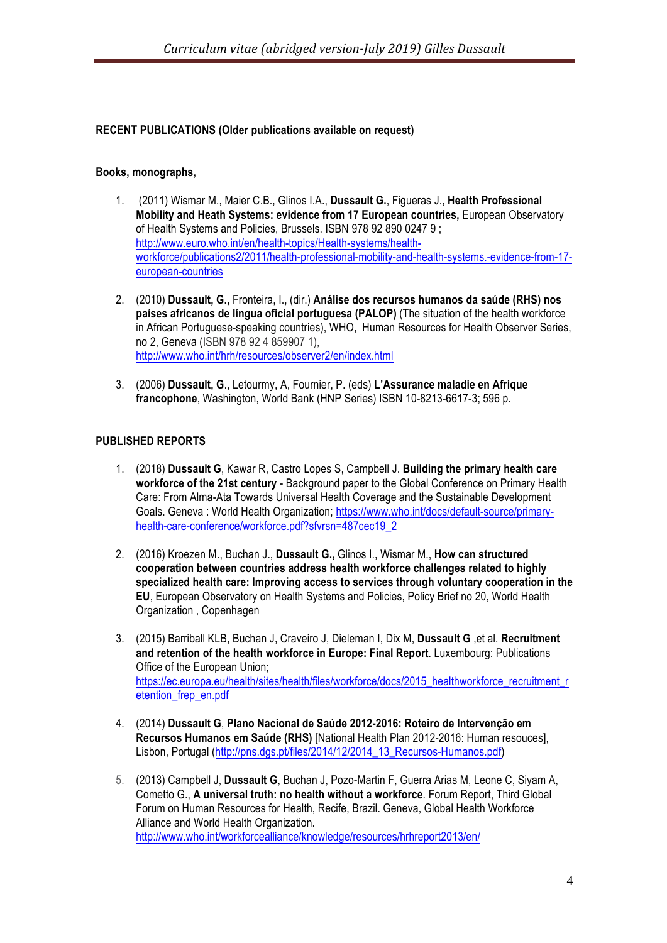#### **RECENT PUBLICATIONS (Older publications available on request)**

#### **Books, monographs,**

- 1. (2011) Wismar M., Maier C.B., Glinos I.A., **Dussault G.**, Figueras J., **Health Professional Mobility and Heath Systems: evidence from 17 European countries,** European Observatory of Health Systems and Policies, Brussels. ISBN 978 92 890 0247 9 ; http://www.euro.who.int/en/health-topics/Health-systems/healthworkforce/publications2/2011/health-professional-mobility-and-health-systems.-evidence-from-17 european-countries
- 2. (2010) **Dussault, G.,** Fronteira, I., (dir.) **Análise dos recursos humanos da saúde (RHS) nos países africanos de língua oficial portuguesa (PALOP)** (The situation of the health workforce in African Portuguese-speaking countries), WHO, Human Resources for Health Observer Series, no 2, Geneva (ISBN 978 92 4 859907 1), http://www.who.int/hrh/resources/observer2/en/index.html
- 3. (2006) **Dussault, G**., Letourmy, A, Fournier, P. (eds) **L'Assurance maladie en Afrique francophone**, Washington, World Bank (HNP Series) ISBN 10-8213-6617-3; 596 p.

#### **PUBLISHED REPORTS**

- 1. (2018) **Dussault G**, Kawar R, Castro Lopes S, Campbell J. **Building the primary health care workforce of the 21st century** - Background paper to the Global Conference on Primary Health Care: From Alma-Ata Towards Universal Health Coverage and the Sustainable Development Goals. Geneva: World Health Organization: https://www.who.int/docs/default-source/primaryhealth-care-conference/workforce.pdf?sfvrsn=487cec19\_2
- 2. (2016) Kroezen M., Buchan J., **Dussault G.,** Glinos I., Wismar M., **How can structured cooperation between countries address health workforce challenges related to highly specialized health care: Improving access to services through voluntary cooperation in the EU**, European Observatory on Health Systems and Policies, Policy Brief no 20, World Health Organization , Copenhagen
- 3. (2015) Barriball KLB, Buchan J, Craveiro J, Dieleman I, Dix M, **Dussault G** ,et al. **Recruitment and retention of the health workforce in Europe: Final Report**. Luxembourg: Publications Office of the European Union; https://ec.europa.eu/health/sites/health/files/workforce/docs/2015\_healthworkforce\_recruitment\_r etention\_frep\_en.pdf
- 4. (2014) **Dussault G**, **Plano Nacional de Saúde 2012-2016: Roteiro de Intervenção em Recursos Humanos em Saúde (RHS)** [National Health Plan 2012-2016: Human resouces], Lisbon, Portugal (http://pns.dgs.pt/files/2014/12/2014\_13\_Recursos-Humanos.pdf)
- 5. (2013) Campbell J, **Dussault G**, Buchan J, Pozo-Martin F, Guerra Arias M, Leone C, Siyam A, Cometto G., **A universal truth: no health without a workforce***.* Forum Report, Third Global Forum on Human Resources for Health, Recife, Brazil. Geneva, Global Health Workforce Alliance and World Health Organization. http://www.who.int/workforcealliance/knowledge/resources/hrhreport2013/en/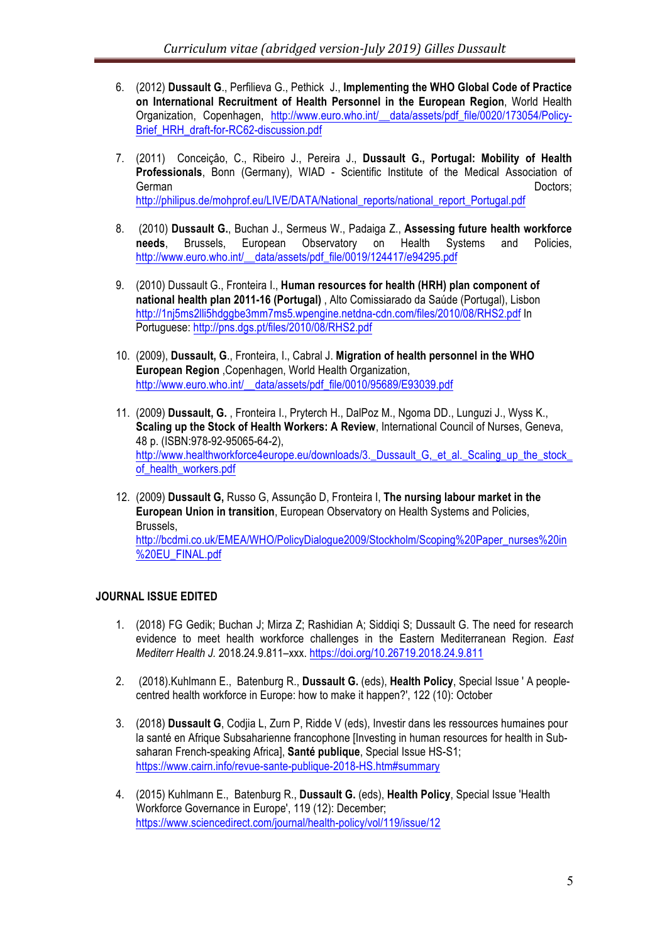- 6. (2012) **Dussault G**., Perfilieva G., Pethick J., **Implementing the WHO Global Code of Practice on International Recruitment of Health Personnel in the European Region**, World Health Organization, Copenhagen, http://www.euro.who.int/\_\_data/assets/pdf\_file/0020/173054/Policy-Brief\_HRH\_draft-for-RC62-discussion.pdf
- 7. (2011) Conceiçâo, C., Ribeiro J., Pereira J., **Dussault G., Portugal: Mobility of Health Professionals**, Bonn (Germany), WIAD - Scientific Institute of the Medical Association of German Doctors; http://philipus.de/mohprof.eu/LIVE/DATA/National\_reports/national\_report\_Portugal.pdf
- 8. (2010) **Dussault G.**, Buchan J., Sermeus W., Padaiga Z., **Assessing future health workforce needs**, Brussels, European Observatory on Health Systems and Policies, http://www.euro.who.int/ data/assets/pdf\_file/0019/124417/e94295.pdf
- 9. (2010) Dussault G., Fronteira I., **Human resources for health (HRH) plan component of national health plan 2011-16 (Portugal)** , Alto Comissiarado da Saúde (Portugal), Lisbon http://1nj5ms2lli5hdggbe3mm7ms5.wpengine.netdna-cdn.com/files/2010/08/RHS2.pdf In Portuguese: http://pns.dgs.pt/files/2010/08/RHS2.pdf
- 10. (2009), **Dussault, G**., Fronteira, I., Cabral J. **Migration of health personnel in the WHO European Region** ,Copenhagen, World Health Organization, http://www.euro.who.int/\_\_data/assets/pdf\_file/0010/95689/E93039.pdf
- 11. (2009) **Dussault, G.** , Fronteira I., Pryterch H., DalPoz M., Ngoma DD., Lunguzi J., Wyss K., **Scaling up the Stock of Health Workers: A Review**, International Council of Nurses, Geneva, 48 p. (ISBN:978-92-95065-64-2), http://www.healthworkforce4europe.eu/downloads/3. Dussault G, et al. Scaling up the stock of health workers.pdf
- 12. (2009) **Dussault G,** Russo G, Assunção D, Fronteira I, **The nursing labour market in the European Union in transition**, European Observatory on Health Systems and Policies, Brussels,

http://bcdmi.co.uk/EMEA/WHO/PolicyDialogue2009/Stockholm/Scoping%20Paper\_nurses%20in %20EU\_FINAL.pdf

# **JOURNAL ISSUE EDITED**

- 1. (2018) FG Gedik; Buchan J; Mirza Z; Rashidian A; Siddiqi S; Dussault G. The need for research evidence to meet health workforce challenges in the Eastern Mediterranean Region. *East Mediterr Health J.* 2018.24.9.811–xxx. https://doi.org/10.26719.2018.24.9.811
- 2. (2018).Kuhlmann E., Batenburg R., **Dussault G.** (eds), **Health Policy**, Special Issue ' A peoplecentred health workforce in Europe: how to make it happen?', 122 (10): October
- 3. (2018) **Dussault G**, Codjia L, Zurn P, Ridde V (eds), Investir dans les ressources humaines pour la santé en Afrique Subsaharienne francophone [Investing in human resources for health in Subsaharan French-speaking Africa], **Santé publique**, Special Issue HS-S1; https://www.cairn.info/revue-sante-publique-2018-HS.htm#summary
- 4. (2015) Kuhlmann E., Batenburg R., **Dussault G.** (eds), **Health Policy**, Special Issue 'Health Workforce Governance in Europe', 119 (12): December; https://www.sciencedirect.com/journal/health-policy/vol/119/issue/12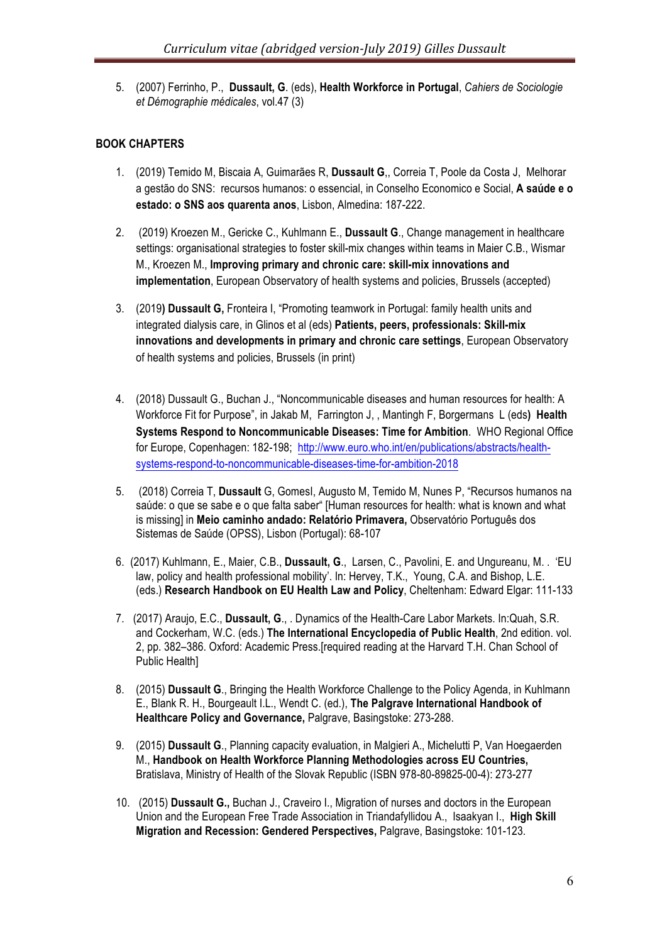5. (2007) Ferrinho, P., **Dussault, G**. (eds), **Health Workforce in Portugal**, *Cahiers de Sociologie et Démographie médicales*, vol.47 (3)

# **BOOK CHAPTERS**

- 1. (2019) Temido M, Biscaia A, Guimarães R, **Dussault G**,, Correia T, Poole da Costa J, Melhorar a gestão do SNS: recursos humanos: o essencial, in Conselho Economico e Social, **A saúde e o estado: o SNS aos quarenta anos**, Lisbon, Almedina: 187-222.
- 2. (2019) Kroezen M., Gericke C., Kuhlmann E., **Dussault G**., Change management in healthcare settings: organisational strategies to foster skill-mix changes within teams in Maier C.B., Wismar M., Kroezen M., **Improving primary and chronic care: skill-mix innovations and implementation**, European Observatory of health systems and policies, Brussels (accepted)
- 3. (2019**) Dussault G,** Fronteira I, "Promoting teamwork in Portugal: family health units and integrated dialysis care, in Glinos et al (eds) **Patients, peers, professionals: Skill-mix innovations and developments in primary and chronic care settings**, European Observatory of health systems and policies, Brussels (in print)
- 4. (2018) Dussault G., Buchan J., "Noncommunicable diseases and human resources for health: A Workforce Fit for Purpose", in Jakab M, Farrington J, , Mantingh F, Borgermans L (eds**) Health Systems Respond to Noncommunicable Diseases: Time for Ambition**. WHO Regional Office for Europe, Copenhagen: 182-198; http://www.euro.who.int/en/publications/abstracts/healthsystems-respond-to-noncommunicable-diseases-time-for-ambition-2018
- 5. (2018) Correia T, **Dussault** G, GomesI, Augusto M, Temido M, Nunes P, "Recursos humanos na saúde: o que se sabe e o que falta saber" [Human resources for health: what is known and what is missing] in **Meio caminho andado: Relatório Primavera,** Observatório Português dos Sistemas de Saúde (OPSS), Lisbon (Portugal): 68-107
- 6. (2017) Kuhlmann, E., Maier, C.B., **Dussault, G**., Larsen, C., Pavolini, E. and Ungureanu, M. . 'EU law, policy and health professional mobility'. In: Hervey, T.K., Young, C.A. and Bishop, L.E. (eds.) **Research Handbook on EU Health Law and Policy**, Cheltenham: Edward Elgar: 111-133
- 7. (2017) Araujo, E.C., **Dussault, G**., . Dynamics of the Health-Care Labor Markets. In:Quah, S.R. and Cockerham, W.C. (eds.) **The International Encyclopedia of Public Health**, 2nd edition. vol. 2, pp. 382–386. Oxford: Academic Press.[required reading at the Harvard T.H. Chan School of Public Health]
- 8. (2015) **Dussault G**., Bringing the Health Workforce Challenge to the Policy Agenda, in Kuhlmann E., Blank R. H., Bourgeault I.L., Wendt C. (ed.), **The Palgrave International Handbook of Healthcare Policy and Governance,** Palgrave, Basingstoke: 273-288.
- 9. (2015) **Dussault G**., Planning capacity evaluation, in Malgieri A., Michelutti P, Van Hoegaerden M., **Handbook on Health Workforce Planning Methodologies across EU Countries,** Bratislava, Ministry of Health of the Slovak Republic (ISBN 978-80-89825-00-4): 273-277
- 10. (2015) **Dussault G.,** Buchan J., Craveiro I., Migration of nurses and doctors in the European Union and the European Free Trade Association in Triandafyllidou A., Isaakyan I., **High Skill Migration and Recession: Gendered Perspectives,** Palgrave, Basingstoke: 101-123.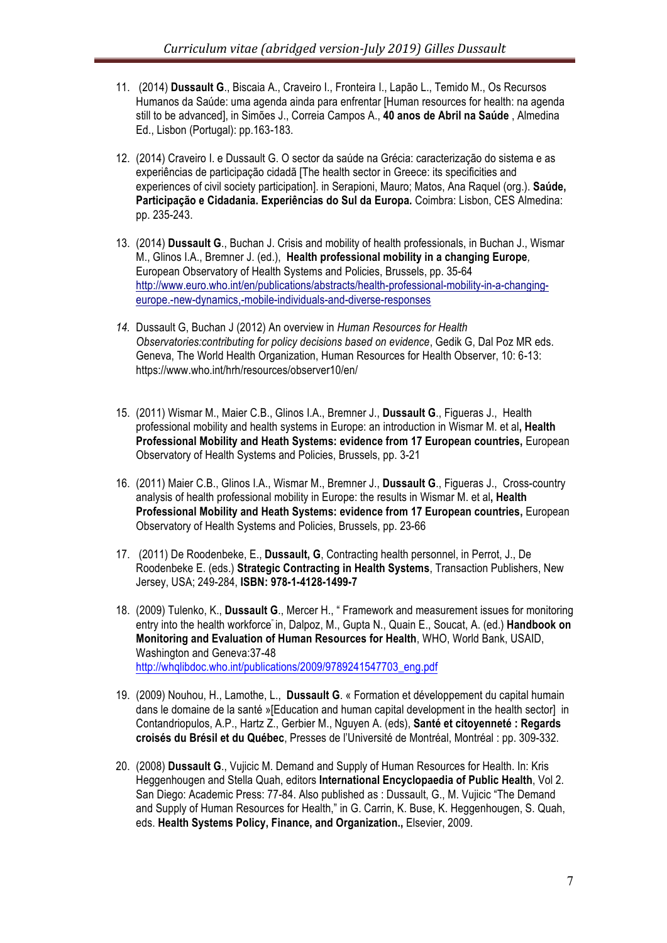- 11. (2014) **Dussault G**., Biscaia A., Craveiro I., Fronteira I., Lapão L., Temido M., Os Recursos Humanos da Saúde: uma agenda ainda para enfrentar [Human resources for health: na agenda still to be advanced], in Simões J., Correia Campos A., **40 anos de Abril na Saúde** , Almedina Ed., Lisbon (Portugal): pp.163-183.
- 12. (2014) Craveiro I. e Dussault G. O sector da saúde na Grécia: caracterização do sistema e as experiências de participação cidadã [The health sector in Greece: its specificities and experiences of civil society participation]. in Serapioni, Mauro; Matos, Ana Raquel (org.). **Saúde, Participação e Cidadania. Experiências do Sul da Europa.** Coimbra: Lisbon, CES Almedina: pp. 235-243.
- 13. (2014) **Dussault G**., Buchan J. Crisis and mobility of health professionals, in Buchan J., Wismar M., Glinos I.A., Bremner J. (ed.), **Health professional mobility in a changing Europe***,*  European Observatory of Health Systems and Policies, Brussels, pp. 35-64 http://www.euro.who.int/en/publications/abstracts/health-professional-mobility-in-a-changingeurope.-new-dynamics,-mobile-individuals-and-diverse-responses
- *14.* Dussault G, Buchan J (2012) An overview in *Human Resources for Health Observatories:contributing for policy decisions based on evidence*, Gedik G, Dal Poz MR eds. Geneva, The World Health Organization, Human Resources for Health Observer, 10: 6-13: https://www.who.int/hrh/resources/observer10/en/
- 15. (2011) Wismar M., Maier C.B., Glinos I.A., Bremner J., **Dussault G**., Figueras J., Health professional mobility and health systems in Europe: an introduction in Wismar M. et al**, Health Professional Mobility and Heath Systems: evidence from 17 European countries,** European Observatory of Health Systems and Policies, Brussels, pp. 3-21
- 16. (2011) Maier C.B., Glinos I.A., Wismar M., Bremner J., **Dussault G**., Figueras J., Cross-country analysis of health professional mobility in Europe: the results in Wismar M. et al**, Health Professional Mobility and Heath Systems: evidence from 17 European countries,** European Observatory of Health Systems and Policies, Brussels, pp. 23-66
- 17. (2011) De Roodenbeke, E., **Dussault, G**, Contracting health personnel, in Perrot, J., De Roodenbeke E. (eds.) **Strategic Contracting in Health Systems**, Transaction Publishers, New Jersey, USA; 249-284, **ISBN: 978-1-4128-1499-7**
- 18. (2009) Tulenko, K., **Dussault G**., Mercer H., " Framework and measurement issues for monitoring entry into the health workforce" in, Dalpoz, M., Gupta N., Quain E., Soucat, A. (ed.) **Handbook on Monitoring and Evaluation of Human Resources for Health**, WHO, World Bank, USAID, Washington and Geneva:37-48 http://whqlibdoc.who.int/publications/2009/9789241547703\_eng.pdf
- 19. (2009) Nouhou, H., Lamothe, L., **Dussault G**. « Formation et développement du capital humain dans le domaine de la santé »[Education and human capital development in the health sector] in Contandriopulos, A.P., Hartz Z., Gerbier M., Nguyen A. (eds), **Santé et citoyenneté : Regards croisés du Brésil et du Québec**, Presses de l'Université de Montréal, Montréal : pp. 309-332.
- 20. (2008) **Dussault G**., Vujicic M. Demand and Supply of Human Resources for Health. In: Kris Heggenhougen and Stella Quah, editors **International Encyclopaedia of Public Health**, Vol 2. San Diego: Academic Press: 77-84. Also published as : Dussault, G., M. Vujicic "The Demand and Supply of Human Resources for Health," in G. Carrin, K. Buse, K. Heggenhougen, S. Quah, eds. **Health Systems Policy, Finance, and Organization.,** Elsevier, 2009.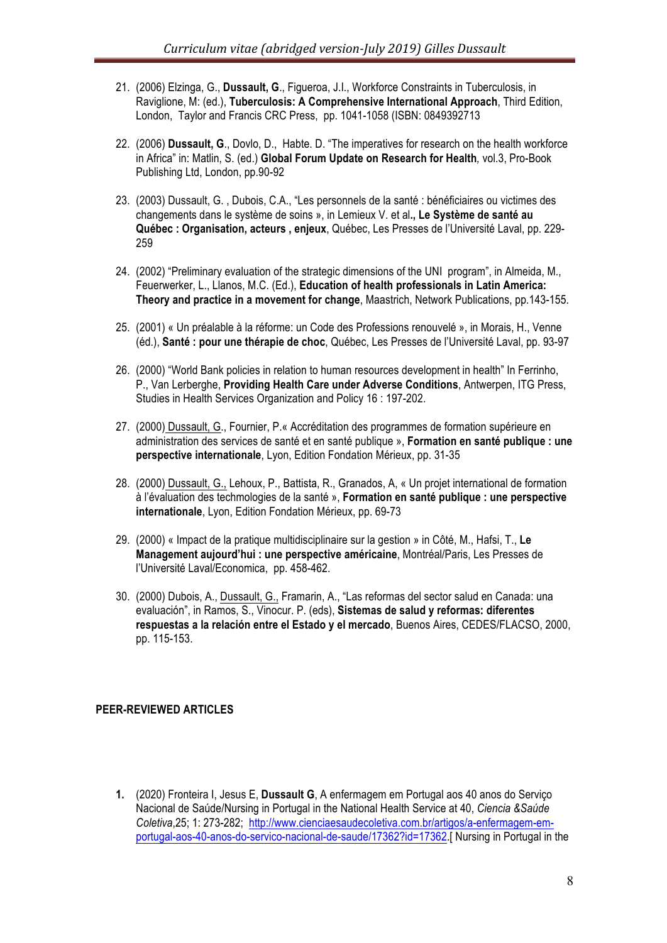- 21. (2006) Elzinga, G., **Dussault, G**., Figueroa, J.I., Workforce Constraints in Tuberculosis, in Raviglione, M: (ed.), **Tuberculosis: A Comprehensive International Approach**, Third Edition, London, Taylor and Francis CRC Press, pp. 1041-1058 (ISBN: 0849392713
- 22. (2006) **Dussault, G**., Dovlo, D., Habte. D. "The imperatives for research on the health workforce in Africa" in: Matlin, S. (ed.) **Global Forum Update on Research for Health***,* vol.3, Pro-Book Publishing Ltd, London, pp.90-92
- 23. (2003) Dussault, G. , Dubois, C.A., "Les personnels de la santé : bénéficiaires ou victimes des changements dans le système de soins », in Lemieux V. et al**., Le Système de santé au Québec : Organisation, acteurs , enjeux**, Québec, Les Presses de l'Université Laval, pp. 229- 259
- 24. (2002) "Preliminary evaluation of the strategic dimensions of the UNI program", in Almeida, M., Feuerwerker, L., Llanos, M.C. (Ed.), **Education of health professionals in Latin America: Theory and practice in a movement for change**, Maastrich, Network Publications, pp.143-155.
- 25. (2001) « Un préalable à la réforme: un Code des Professions renouvelé », in Morais, H., Venne (éd.), **Santé : pour une thérapie de choc**, Québec, Les Presses de l'Université Laval, pp. 93-97
- 26. (2000) "World Bank policies in relation to human resources development in health" In Ferrinho, P., Van Lerberghe, **Providing Health Care under Adverse Conditions**, Antwerpen, ITG Press, Studies in Health Services Organization and Policy 16 : 197-202.
- 27. (2000) Dussault, G., Fournier, P.« Accréditation des programmes de formation supérieure en administration des services de santé et en santé publique », **Formation en santé publique : une perspective internationale**, Lyon, Edition Fondation Mérieux, pp. 31-35
- 28. (2000) Dussault, G., Lehoux, P., Battista, R., Granados, A, « Un projet international de formation à l'évaluation des techmologies de la santé », **Formation en santé publique : une perspective internationale**, Lyon, Edition Fondation Mérieux, pp. 69-73
- 29. (2000) « Impact de la pratique multidisciplinaire sur la gestion » in Côté, M., Hafsi, T., **Le Management aujourd'hui : une perspective américaine**, Montréal/Paris, Les Presses de l'Université Laval/Economica, pp. 458-462.
- 30. (2000) Dubois, A., Dussault, G., Framarin, A., "Las reformas del sector salud en Canada: una evaluación", in Ramos, S., Vinocur. P. (eds), **Sistemas de salud y reformas: diferentes respuestas a la relación entre el Estado y el mercado**, Buenos Aires, CEDES/FLACSO, 2000, pp. 115-153.

#### **PEER-REVIEWED ARTICLES**

**1.** (2020) Fronteira I, Jesus E, **Dussault G**, A enfermagem em Portugal aos 40 anos do Serviço Nacional de Saúde/Nursing in Portugal in the National Health Service at 40, *Ciencia &Saúde Coletiva*,25; 1: 273-282; http://www.cienciaesaudecoletiva.com.br/artigos/a-enfermagem-emportugal-aos-40-anos-do-servico-nacional-de-saude/17362?id=17362.[ Nursing in Portugal in the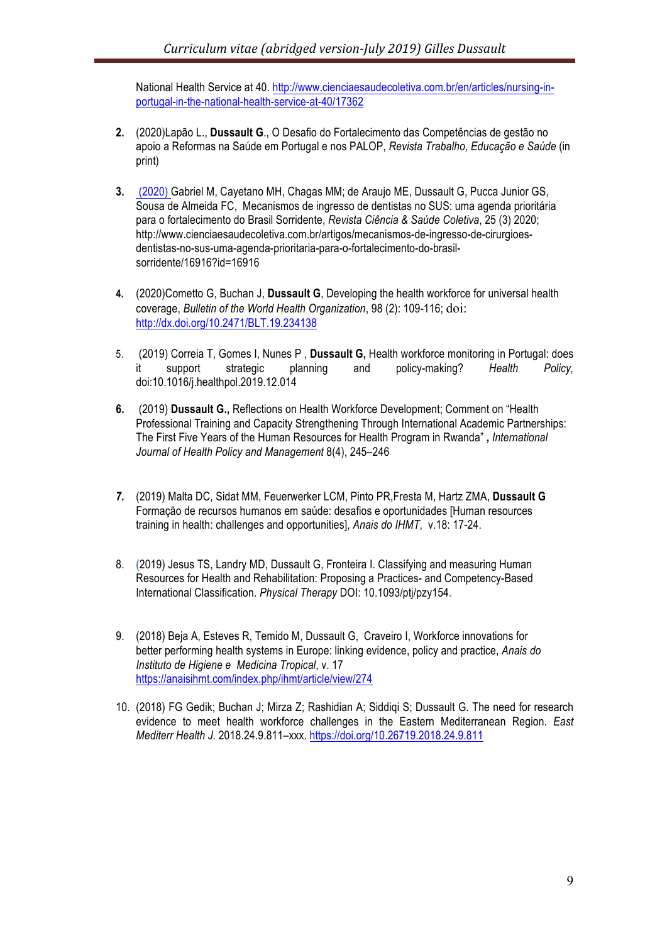National Health Service at 40. http://www.cienciaesaudecoletiva.com.br/en/articles/nursing-inportugal-in-the-national-health-service-at-40/17362

- **2.** (2020)Lapão L., **Dussault G**., O Desafio do Fortalecimento das Competências de gestão no apoio a Reformas na Saúde em Portugal e nos PALOP, *Revista Trabalho, Educação e Saúde* (in print)
- **3.** (2020) Gabriel M, Cayetano MH, Chagas MM; de Araujo ME, Dussault G, Pucca Junior GS, Sousa de Almeida FC, Mecanismos de ingresso de dentistas no SUS: uma agenda prioritária para o fortalecimento do Brasil Sorridente, *Revista Ciência & Saúde Coletiva*, 25 (3) 2020; http://www.cienciaesaudecoletiva.com.br/artigos/mecanismos-de-ingresso-de-cirurgioesdentistas-no-sus-uma-agenda-prioritaria-para-o-fortalecimento-do-brasilsorridente/16916?id=16916
- **4.** (2020)Cometto G, Buchan J, **Dussault G**, Developing the health workforce for universal health coverage, *Bulletin of the World Health Organization*, 98 (2): 109-116; doi: http://dx.doi.org/10.2471/BLT.19.234138
- 5. (2019) Correia T, Gomes I, Nunes P , **Dussault G,** Health workforce monitoring in Portugal: does it support strategic planning and policy-making? *Health Policy,*  doi:10.1016/j.healthpol.2019.12.014
- **6.** (2019) **Dussault G.,** Reflections on Health Workforce Development; Comment on "Health Professional Training and Capacity Strengthening Through International Academic Partnerships: The First Five Years of the Human Resources for Health Program in Rwanda" **,** *International Journal of Health Policy and Management* 8(4), 245–246
- *7.* (2019) Malta DC, Sidat MM, Feuerwerker LCM, Pinto PR,Fresta M, Hartz ZMA, **Dussault G** Formação de recursos humanos em saúde: desafios e oportunidades [Human resources training in health: challenges and opportunities], *Anais do IHMT*, v.18: 17-24.
- 8. **(**2019) Jesus TS, Landry MD, Dussault G, Fronteira I. Classifying and measuring Human Resources for Health and Rehabilitation: Proposing a Practices- and Competency-Based International Classification. *Physical Therapy* DOI: 10.1093/ptj/pzy154**.**
- 9. (2018) Beja A, Esteves R, Temido M, Dussault G, Craveiro I, Workforce innovations for better performing health systems in Europe: linking evidence, policy and practice, *Anais do Instituto de Higiene e Medicina Tropical*, v. 17 https://anaisihmt.com/index.php/ihmt/article/view/274
- 10. (2018) FG Gedik; Buchan J; Mirza Z; Rashidian A; Siddiqi S; Dussault G. The need for research evidence to meet health workforce challenges in the Eastern Mediterranean Region. *East Mediterr Health J.* 2018.24.9.811–xxx. https://doi.org/10.26719.2018.24.9.811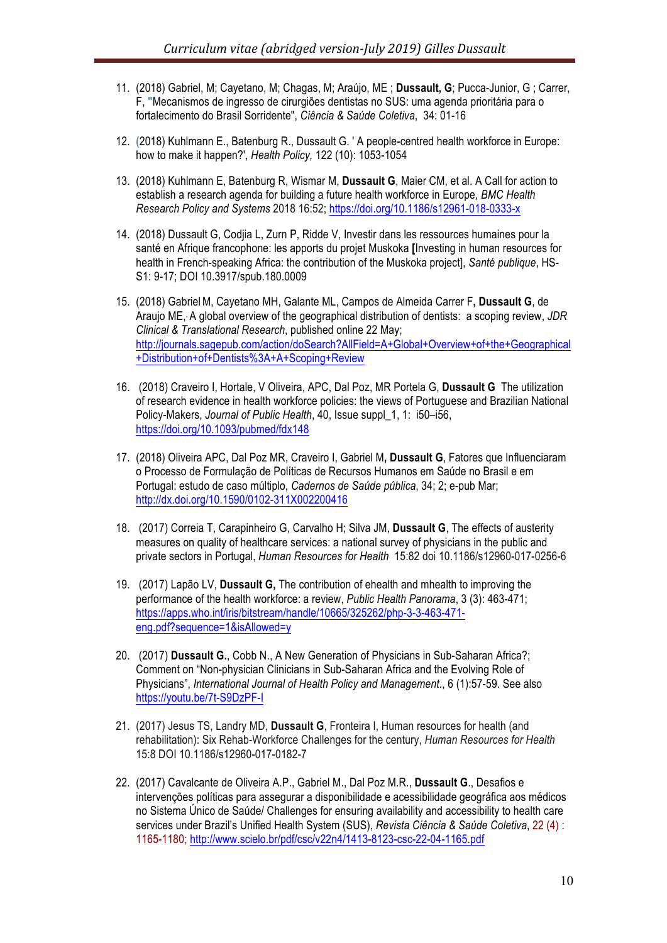- 11. (2018) Gabriel, M; Cayetano, M; Chagas, M; Araújo, ME ; **Dussault, G**; Pucca-Junior, G ; Carrer, F, **"**Mecanismos de ingresso de cirurgiões dentistas no SUS: uma agenda prioritária para o fortalecimento do Brasil Sorridente", *Ciência & Saúde Coletiva*, 34: 01-16
- 12. **(**2018) Kuhlmann E., Batenburg R., Dussault G. ' A people-centred health workforce in Europe: how to make it happen?', *Health Policy,* 122 (10): 1053-1054
- 13. (2018) Kuhlmann E, Batenburg R, Wismar M, **Dussault G**, Maier CM, et al. A Call for action to establish a research agenda for building a future health workforce in Europe, *BMC Health Research Policy and Systems* 2018 16:52; https://doi.org/10.1186/s12961-018-0333-x
- 14. (2018) Dussault G, Codjia L, Zurn P, Ridde V, Investir dans les ressources humaines pour la santé en Afrique francophone: les apports du projet Muskoka **[**Investing in human resources for health in French-speaking Africa: the contribution of the Muskoka project], *Santé publique*, HS-S1: 9-17; DOI 10.3917/spub.180.0009
- 15. (2018) GabrielM, Cayetano MH, Galante ML, Campos de Almeida Carrer F**, Dussault G**, de Araujo ME,, A global overview of the geographical distribution of dentists: a scoping review, *JDR Clinical & Translational Research*, published online 22 May; http://journals.sagepub.com/action/doSearch?AllField=A+Global+Overview+of+the+Geographical +Distribution+of+Dentists%3A+A+Scoping+Review
- 16. (2018) Craveiro I, Hortale, V Oliveira, APC, Dal Poz, MR Portela G, **Dussault G** The utilization of research evidence in health workforce policies: the views of Portuguese and Brazilian National Policy-Makers, *Journal of Public Health*, 40, Issue suppl\_1, 1: i50–i56, https://doi.org/10.1093/pubmed/fdx148
- 17. (2018) Oliveira APC, Dal Poz MR, Craveiro I, Gabriel M**, Dussault G**, Fatores que Influenciaram o Processo de Formulação de Políticas de Recursos Humanos em Saúde no Brasil e em Portugal: estudo de caso múltiplo, *Cadernos de Saúde pública*, 34; 2; e-pub Mar; http://dx.doi.org/10.1590/0102-311X002200416
- 18. (2017) Correia T, Carapinheiro G, Carvalho H; Silva JM, **Dussault G**, The effects of austerity measures on quality of healthcare services: a national survey of physicians in the public and private sectors in Portugal, *Human Resources for Health* 15:82 doi 10.1186/s12960-017-0256-6
- 19. (2017) Lapão LV, **Dussault G,** The contribution of ehealth and mhealth to improving the performance of the health workforce: a review, *Public Health Panorama*, 3 (3): 463-471; https://apps.who.int/iris/bitstream/handle/10665/325262/php-3-3-463-471 eng.pdf?sequence=1&isAllowed=y
- 20. (2017) **Dussault G.**, Cobb N., A New Generation of Physicians in Sub-Saharan Africa?; Comment on "Non-physician Clinicians in Sub-Saharan Africa and the Evolving Role of Physicians", *International Journal of Health Policy and Management*., 6 (1):57-59. See also https://youtu.be/7t-S9DzPF-I
- 21. (2017) Jesus TS, Landry MD, **Dussault G**, Fronteira I, Human resources for health (and rehabilitation): Six Rehab-Workforce Challenges for the century, *Human Resources for Health* 15:8 DOI 10.1186/s12960-017-0182-7
- 22. (2017) Cavalcante de Oliveira A.P., Gabriel M., Dal Poz M.R., **Dussault G**., Desafios e intervenções políticas para assegurar a disponibilidade e acessibilidade geográfica aos médicos no Sistema Único de Saúde/ Challenges for ensuring availability and accessibility to health care services under Brazil's Unified Health System (SUS), *Revista Ciência & Saúde Coletiva*, 22 (4) : 1165-1180; http://www.scielo.br/pdf/csc/v22n4/1413-8123-csc-22-04-1165.pdf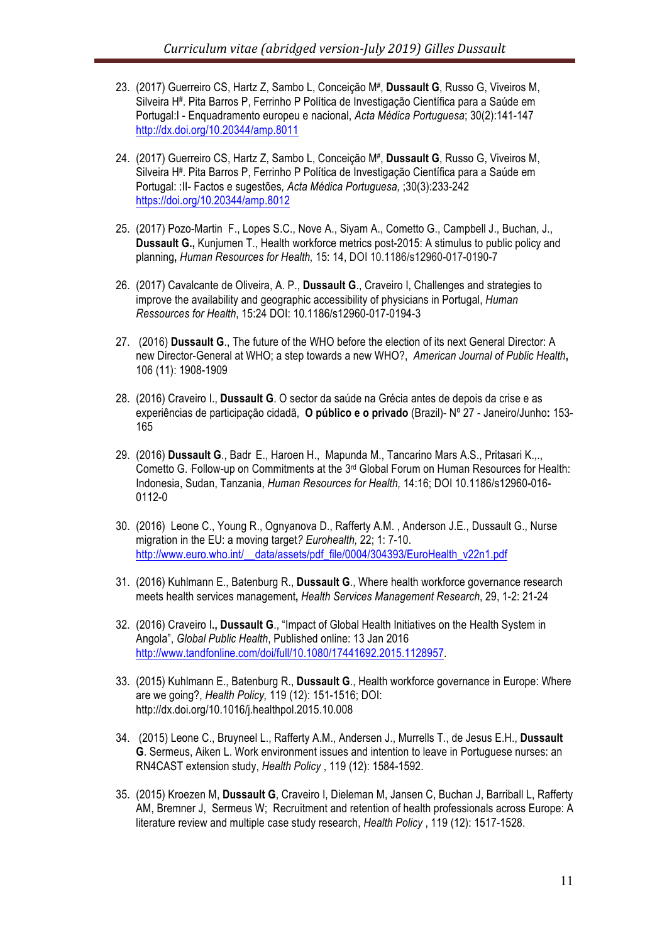- 23. (2017) Guerreiro CS, Hartz Z, Sambo L, Conceição M#, **Dussault G**, Russo G, Viveiros M, Silveira H#. Pita Barros P, Ferrinho P Política de Investigação Científica para a Saúde em Portugal:I - Enquadramento europeu e nacional, *Acta Médica Portuguesa*; 30(2):141-147 http://dx.doi.org/10.20344/amp.8011
- 24. (2017) Guerreiro CS, Hartz Z, Sambo L, Conceição M#, **Dussault G**, Russo G, Viveiros M, Silveira H#. Pita Barros P, Ferrinho P Política de Investigação Científica para a Saúde em Portugal: :II- Factos e sugestões*, Acta Médica Portuguesa,* ;30(3):233-242 https://doi.org/10.20344/amp.8012
- 25. (2017) Pozo-Martin F., Lopes S.C., Nove A., Siyam A., Cometto G., Campbell J., Buchan, J., **Dussault G.,** Kunjumen T., Health workforce metrics post-2015: A stimulus to public policy and planning**,** *Human Resources for Health,* 15: 14, DOI 10.1186/s12960-017-0190-7
- 26. (2017) Cavalcante de Oliveira, A. P., **Dussault G**., Craveiro I, Challenges and strategies to improve the availability and geographic accessibility of physicians in Portugal, *Human Ressources for Health*, 15:24 DOI: 10.1186/s12960-017-0194-3
- 27. (2016) **Dussault G**., The future of the WHO before the election of its next General Director: A new Director-General at WHO; a step towards a new WHO?, *American Journal of Public Health***,**  106 (11): 1908-1909
- 28. (2016) Craveiro I., **Dussault G**. O sector da saúde na Grécia antes de depois da crise e as experiências de participação cidadã, **O público e o privado** (Brazil)- Nº 27 - Janeiro/Junho**:** 153- 165
- 29. (2016) **Dussault G**., Badr E., Haroen H., Mapunda M., Tancarino Mars A.S., Pritasari K.,., Cometto G. Follow-up on Commitments at the  $3<sup>rd</sup>$  Global Forum on Human Resources for Health: Indonesia, Sudan, Tanzania, *Human Resources for Health,* 14:16; DOI 10.1186/s12960-016- 0112-0
- 30. (2016) Leone C., Young R., Ognyanova D., Rafferty A.M. , Anderson J.E., Dussault G., Nurse migration in the EU: a moving target*? Eurohealth,* 22; 1: 7-10. http://www.euro.who.int/\_\_data/assets/pdf\_file/0004/304393/EuroHealth\_v22n1.pdf
- 31. (2016) Kuhlmann E., Batenburg R., **Dussault G**., Where health workforce governance research meets health services management**,** *Health Services Management Research*, 29, 1-2: 21-24
- 32. (2016) Craveiro I**., Dussault G**., "Impact of Global Health Initiatives on the Health System in Angola", *Global Public Health*, Published online: 13 Jan 2016 http://www.tandfonline.com/doi/full/10.1080/17441692.2015.1128957.
- 33. (2015) Kuhlmann E., Batenburg R., **Dussault G**., Health workforce governance in Europe: Where are we going?, *Health Policy,* 119 (12): 151-1516; DOI: http://dx.doi.org/10.1016/j.healthpol.2015.10.008
- 34. (2015) Leone C., Bruyneel L., Rafferty A.M., Andersen J., Murrells T., de Jesus E.H., **Dussault G**. Sermeus, Aiken L. Work environment issues and intention to leave in Portuguese nurses: an RN4CAST extension study, *Health Policy* , 119 (12): 1584-1592.
- 35. (2015) Kroezen M, **Dussault G**, Craveiro I, Dieleman M, Jansen C, Buchan J, Barriball L, Rafferty AM, Bremner J, Sermeus W; Recruitment and retention of health professionals across Europe: A literature review and multiple case study research, *Health Policy* , 119 (12): 1517-1528.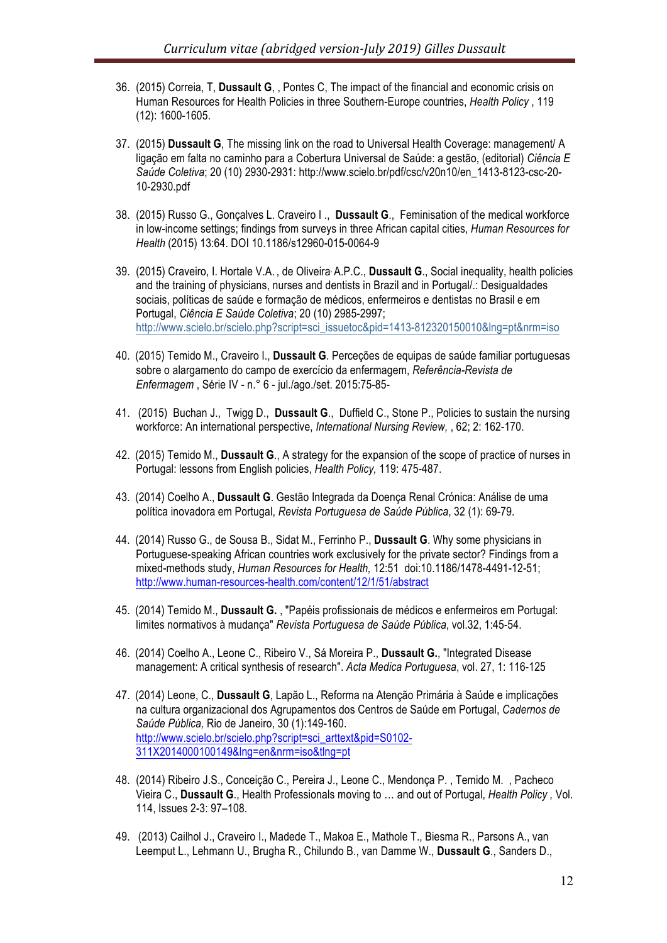- 36. (2015) Correia, T, **Dussault G**, , Pontes C, The impact of the financial and economic crisis on Human Resources for Health Policies in three Southern-Europe countries, *Health Policy* , 119 (12): 1600-1605.
- 37. (2015) **Dussault G**, The missing link on the road to Universal Health Coverage: management/ A ligação em falta no caminho para a Cobertura Universal de Saúde: a gestão, (editorial) *Ciência E Saúde Coletiva*; 20 (10) 2930-2931: http://www.scielo.br/pdf/csc/v20n10/en\_1413-8123-csc-20- 10-2930.pdf
- 38. (2015) Russo G., Gonçalves L. Craveiro I ., **Dussault G**., Feminisation of the medical workforce in low-income settings; findings from surveys in three African capital cities, *Human Resources for Health* (2015) 13:64. DOI 10.1186/s12960-015-0064-9
- 39. (2015) Craveiro, I. Hortale V.A. , de Oliveira, A.P.C., **Dussault G**., Social inequality, health policies and the training of physicians, nurses and dentists in Brazil and in Portugal/.: Desigualdades sociais, políticas de saúde e formação de médicos, enfermeiros e dentistas no Brasil e em Portugal, *Ciência E Saúde Coletiva*; 20 (10) 2985-2997; http://www.scielo.br/scielo.php?script=sci\_issuetoc&pid=1413-812320150010&lng=pt&nrm=iso
- 40. (2015) Temido M., Craveiro I., **Dussault G**. Perceções de equipas de saúde familiar portuguesas sobre o alargamento do campo de exercício da enfermagem, *Referência-Revista de Enfermagem* , Série IV - n.° 6 - jul./ago./set. 2015:75-85-
- 41. (2015) Buchan J., Twigg D., **Dussault G**., Duffield C., Stone P., Policies to sustain the nursing workforce: An international perspective, *International Nursing Review,* , 62; 2: 162-170.
- 42. (2015) Temido M., **Dussault G**., A strategy for the expansion of the scope of practice of nurses in Portugal: lessons from English policies, *Health Policy,* 119: 475-487.
- 43. (2014) Coelho A., **Dussault G**. Gestão Integrada da Doença Renal Crónica: Análise de uma política inovadora em Portugal, *Revista Portuguesa de Saúde Pública*, 32 (1): 69-79.
- 44. (2014) Russo G., de Sousa B., Sidat M., Ferrinho P., **Dussault G**. Why some physicians in Portuguese-speaking African countries work exclusively for the private sector? Findings from a mixed-methods study, *Human Resources for Health,* 12:51 doi:10.1186/1478-4491-12-51; http://www.human-resources-health.com/content/12/1/51/abstract
- 45. (2014) Temido M., **Dussault G.** , "Papéis profissionais de médicos e enfermeiros em Portugal: limites normativos à mudança" *Revista Portuguesa de Saúde Pública*, vol.32, 1:45-54.
- 46. (2014) Coelho A., Leone C., Ribeiro V., Sá Moreira P., **Dussault G.**, "Integrated Disease management: A critical synthesis of research". *Acta Medica Portuguesa*, vol. 27, 1: 116-125
- 47. (2014) Leone, C., **Dussault G**, Lapão L., Reforma na Atenção Primária à Saúde e implicações na cultura organizacional dos Agrupamentos dos Centros de Saúde em Portugal, *Cadernos de Saúde Pública,* Rio de Janeiro, 30 (1):149-160. http://www.scielo.br/scielo.php?script=sci\_arttext&pid=S0102- 311X2014000100149&lng=en&nrm=iso&tlng=pt
- 48. (2014) Ribeiro J.S., Conceição C., Pereira J., Leone C., Mendonça P. , Temido M. , Pacheco Vieira C., **Dussault G**., Health Professionals moving to … and out of Portugal, *Health Policy ,* Vol. 114, Issues 2-3: 97–108.
- 49. (2013) Cailhol J., Craveiro I., Madede T., Makoa E., Mathole T., Biesma R., Parsons A., van Leemput L., Lehmann U., Brugha R., Chilundo B., van Damme W., **Dussault G**., Sanders D.,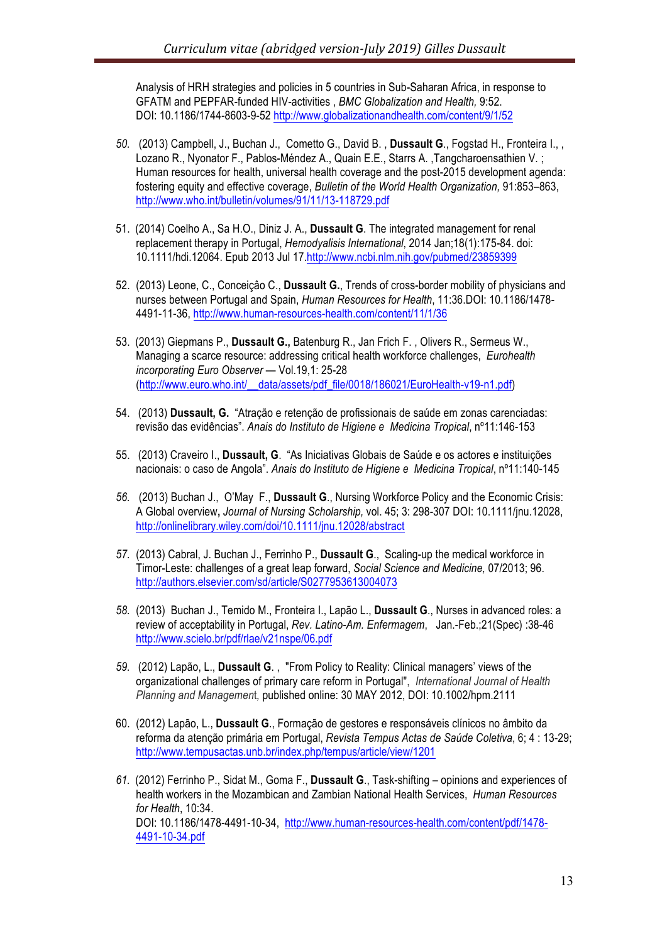Analysis of HRH strategies and policies in 5 countries in Sub-Saharan Africa, in response to GFATM and PEPFAR-funded HIV-activities , *BMC Globalization and Health,* 9:52. DOI: 10.1186/1744-8603-9-52 http://www.globalizationandhealth.com/content/9/1/52

- *50.* (2013) Campbell, J., Buchan J., Cometto G., David B. , **Dussault G**., Fogstad H., Fronteira I., , Lozano R., Nyonator F., Pablos-Méndez A., Quain E.E., Starrs A. ,Tangcharoensathien V. ; Human resources for health, universal health coverage and the post-2015 development agenda: fostering equity and effective coverage, *Bulletin of the World Health Organization,* 91:853–863, http://www.who.int/bulletin/volumes/91/11/13-118729.pdf
- 51. (2014) Coelho A., Sa H.O., Diniz J. A., **Dussault G**. The integrated management for renal replacement therapy in Portugal, *Hemodyalisis International*, 2014 Jan;18(1):175-84. doi: 10.1111/hdi.12064. Epub 2013 Jul 17.http://www.ncbi.nlm.nih.gov/pubmed/23859399
- 52. (2013) Leone, C., Conceiçâo C., **Dussault G.**, Trends of cross-border mobility of physicians and nurses between Portugal and Spain, *Human Resources for Health*, 11:36.DOI: 10.1186/1478- 4491-11-36, http://www.human-resources-health.com/content/11/1/36
- 53. (2013) Giepmans P., **Dussault G.,** Batenburg R., Jan Frich F. , Olivers R., Sermeus W., Managing a scarce resource: addressing critical health workforce challenges, *Eurohealth incorporating Euro Observer* — Vol.19,1: 25-28 (http://www.euro.who.int/\_\_data/assets/pdf\_file/0018/186021/EuroHealth-v19-n1.pdf)
- 54. (2013) **Dussault, G.** "Atração e retenção de profissionais de saúde em zonas carenciadas: revisão das evidências". *Anais do Instituto de Higiene e Medicina Tropical*, nº11:146-153
- 55. (2013) Craveiro I., **Dussault, G**. "As Iniciativas Globais de Saúde e os actores e instituições nacionais: o caso de Angola". *Anais do Instituto de Higiene e Medicina Tropical*, nº11:140-145
- *56.* (2013) Buchan J., O'May F., **Dussault G**., Nursing Workforce Policy and the Economic Crisis: A Global overview**,** *Journal of Nursing Scholarship,* vol. 45; 3: 298*-*307 DOI: 10.1111/jnu.12028, http://onlinelibrary.wiley.com/doi/10.1111/jnu.12028/abstract
- *57.* (2013) Cabral, J. Buchan J., Ferrinho P., **Dussault G**., Scaling-up the medical workforce in Timor-Leste: challenges of a great leap forward, *Social Science and Medicine,* 07/2013; 96. http://authors.elsevier.com/sd/article/S0277953613004073
- *58.* (2013) Buchan J., Temido M., Fronteira I., Lapão L., **Dussault G**., Nurses in advanced roles: a review of acceptability in Portugal, *Rev. Latino-Am. Enfermagem*, Jan.-Feb.;21(Spec) :38-46 http://www.scielo.br/pdf/rlae/v21nspe/06.pdf
- *59.* (2012) Lapão, L., **Dussault G**. , "From Policy to Reality: Clinical managers' views of the organizational challenges of primary care reform in Portugal", *International Journal of Health Planning and Managemen*t*,* published online: 30 MAY 2012, DOI: 10.1002/hpm.2111
- 60. (2012) Lapão, L., **Dussault G**., Formação de gestores e responsáveis clínicos no âmbito da reforma da atenção primária em Portugal, *Revista Tempus Actas de Saúde Coletiva*, 6; 4 : 13-29; http://www.tempusactas.unb.br/index.php/tempus/article/view/1201
- *61.* (2012) Ferrinho P., Sidat M., Goma F., **Dussault G**., Task-shifting opinions and experiences of health workers in the Mozambican and Zambian National Health Services, *Human Resources for Health*, 10:34. DOI: 10.1186/1478-4491-10-34, http://www.human-resources-health.com/content/pdf/1478- 4491-10-34.pdf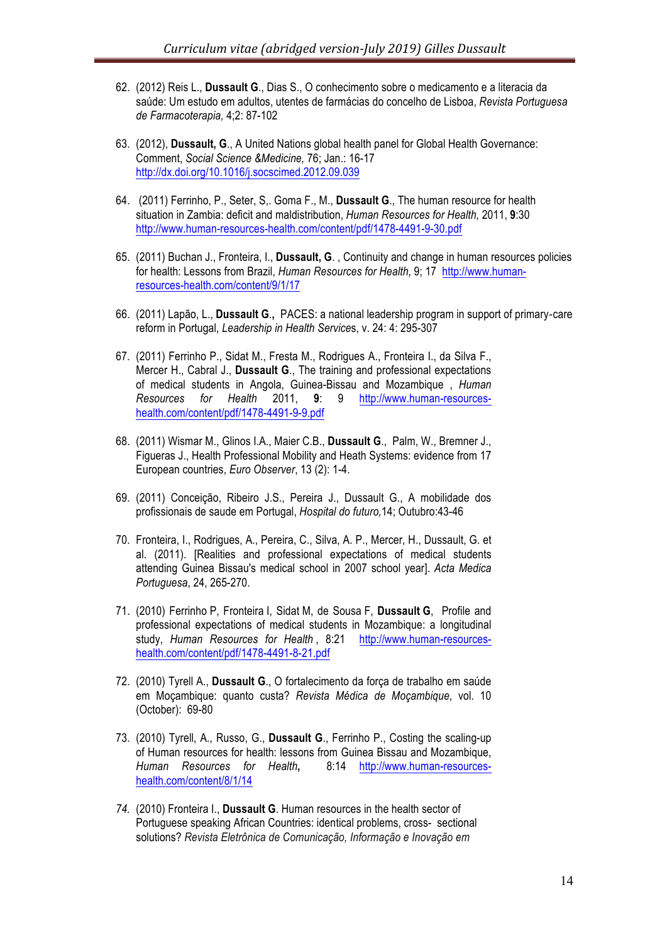- 62. (2012) Reis L., **Dussault G**., Dias S., O conhecimento sobre o medicamento e a literacia da saúde: Um estudo em adultos, utentes de farmácias do concelho de Lisboa, *Revista Portuguesa de Farmacoterapia,* 4;2: 87-102
- 63. (2012), **Dussault, G**., A United Nations global health panel for Global Health Governance: Comment, *Social Science &Medicine,* 76; Jan.: 16-17 http://dx.doi.org/10.1016/j.socscimed.2012.09.039
- 64. (2011) Ferrinho, P., Seter, S,. Goma F., M., **Dussault G**., The human resource for health situation in Zambia: deficit and maldistribution, *Human Resources for Health,* 2011, **9**:30 http://www.human-resources-health.com/content/pdf/1478-4491-9-30.pdf
- 65. (2011) Buchan J., Fronteira, I., **Dussault, G**. , Continuity and change in human resources policies for health: Lessons from Brazil, *Human Resources for Health*, 9; 17 http://www.humanresources-health.com/content/9/1/17
- 66. (2011) Lapão, L., **Dussault G**.**,** PACES: a national leadership program in support of primary-care reform in Portugal, *Leadership in Health Service*s, v. 24: 4: 295-307
- 67. (2011) Ferrinho P., Sidat M., Fresta M., Rodrigues A., Fronteira I., da Silva F., Mercer H., Cabral J., **Dussault G**., The training and professional expectations of medical students in Angola, Guinea-Bissau and Mozambique , *Human Resources for Health* 2011, **9**: 9 http://www.human-resourceshealth.com/content/pdf/1478-4491-9-9.pdf
- 68. (2011) Wismar M., Glinos I.A., Maier C.B., **Dussault G**., Palm, W., Bremner J., Figueras J., Health Professional Mobility and Heath Systems: evidence from 17 European countries, *Euro Observer*, 13 (2): 1-4.
- 69. (2011) Conceição, Ribeiro J.S., Pereira J., Dussault G., A mobilidade dos profissionais de saude em Portugal, *Hospital do futuro,*14; Outubro:43-46
- 70. Fronteira, I., Rodrigues, A., Pereira, C., Silva, A. P., Mercer, H., Dussault, G. et al. (2011). [Realities and professional expectations of medical students attending Guinea Bissau's medical school in 2007 school year]. *Acta Medica Portuguesa*, 24, 265-270.
- 71. (2010) Ferrinho P, Fronteira I, Sidat M, de Sousa F, **Dussault G**, Profile and professional expectations of medical students in Mozambique: a longitudinal study, *Human Resources for Health* , 8:21 http://www.human-resourceshealth.com/content/pdf/1478-4491-8-21.pdf
- 72. (2010) Tyrell A., **Dussault G**., O fortalecimento da força de trabalho em saúde em Moçambique: quanto custa? *Revista Médica de Moçambique*, vol. 10 (October): 69-80
- 73. (2010) Tyrell, A., Russo, G., **Dussault G**., Ferrinho P., Costing the scaling-up of Human resources for health: lessons from Guinea Bissau and Mozambique, *Human Resources for Health***,** 8:14 http://www.human-resourceshealth.com/content/8/1/14
- *74.* (2010) Fronteira I., **Dussault G**. Human resources in the health sector of Portuguese speaking African Countries: identical problems, cross- sectional solutions? *Revista Eletrônica de Comunicação, Informação e Inovação em*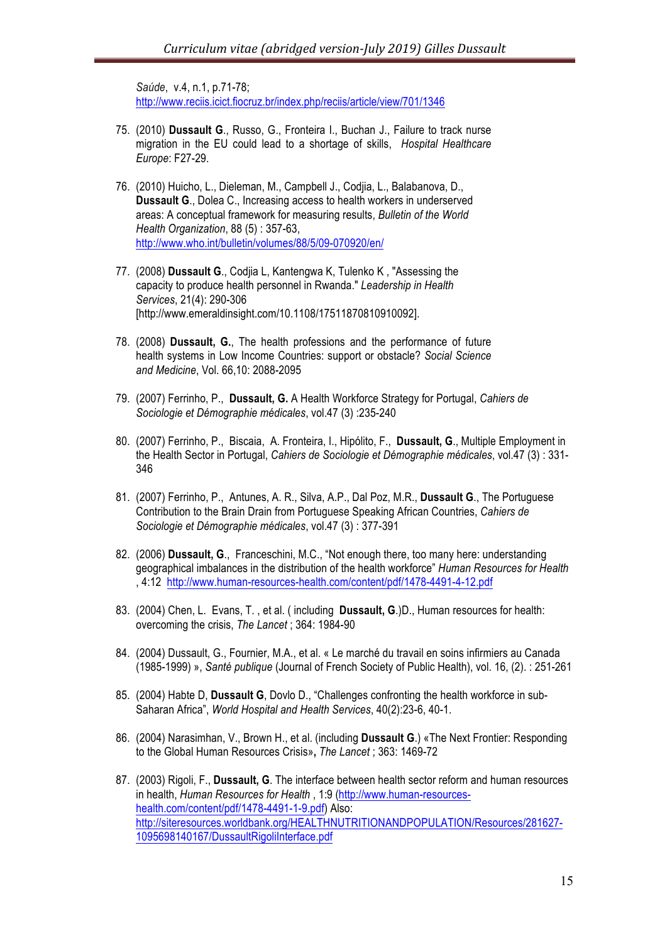*Saúde*, v.4, n.1, p.71-78; http://www.reciis.icict.fiocruz.br/index.php/reciis/article/view/701/1346

- 75. (2010) **Dussault G**., Russo, G., Fronteira I., Buchan J., Failure to track nurse migration in the EU could lead to a shortage of skills, *Hospital Healthcare Europe*: F27-29.
- 76. (2010) Huicho, L., Dieleman, M., Campbell J., Codjia, L., Balabanova, D., **Dussault G**., Dolea C., Increasing access to health workers in underserved areas: A conceptual framework for measuring results, *Bulletin of the World Health Organization*, 88 (5) : 357-63, http://www.who.int/bulletin/volumes/88/5/09-070920/en/
- 77. (2008) **Dussault G**., Codjia L, Kantengwa K, Tulenko K , "Assessing the capacity to produce health personnel in Rwanda." *Leadership in Health Services*, 21(4): 290-306 [http://www.emeraldinsight.com/10.1108/17511870810910092].
- 78. (2008) **Dussault, G.**, The health professions and the performance of future health systems in Low Income Countries: support or obstacle? *Social Science and Medicine*, Vol. 66,10: 2088-2095
- 79. (2007) Ferrinho, P., **Dussault, G.** A Health Workforce Strategy for Portugal, *Cahiers de Sociologie et Démographie médicales*, vol.47 (3) :235-240
- 80. (2007) Ferrinho, P., Biscaia, A. Fronteira, I., Hipólito, F., **Dussault, G**., Multiple Employment in the Health Sector in Portugal, *Cahiers de Sociologie et Démographie médicales*, vol.47 (3) : 331- 346
- 81. (2007) Ferrinho, P., Antunes, A. R., Silva, A.P., Dal Poz, M.R., **Dussault G**., The Portuguese Contribution to the Brain Drain from Portuguese Speaking African Countries, *Cahiers de Sociologie et Démographie médicales*, vol.47 (3) : 377-391
- 82. (2006) **Dussault, G**., Franceschini, M.C., "Not enough there, too many here: understanding geographical imbalances in the distribution of the health workforce" *Human Resources for Health* , 4:12 http://www.human-resources-health.com/content/pdf/1478-4491-4-12.pdf
- 83. (2004) Chen, L. Evans, T. , et al. ( including **Dussault, G**.)D., Human resources for health: overcoming the crisis, *The Lancet* ; 364: 1984-90
- 84. (2004) Dussault, G., Fournier, M.A., et al. « Le marché du travail en soins infirmiers au Canada (1985-1999) », *Santé publique* (Journal of French Society of Public Health), vol. 16, (2). : 251-261
- 85. (2004) Habte D, **Dussault G**, Dovlo D., "Challenges confronting the health workforce in sub-Saharan Africa", *World Hospital and Health Services*, 40(2):23-6, 40-1.
- 86. (2004) Narasimhan, V., Brown H., et al. (including **Dussault G**.) «The Next Frontier: Responding to the Global Human Resources Crisis»**,** *The Lancet* ; 363: 1469-72
- 87. (2003) Rigoli, F., **Dussault, G**. The interface between health sector reform and human resources in health, *Human Resources for Health* , 1:9 (http://www.human-resourceshealth.com/content/pdf/1478-4491-1-9.pdf) Also: http://siteresources.worldbank.org/HEALTHNUTRITIONANDPOPULATION/Resources/281627- 1095698140167/DussaultRigoliInterface.pdf